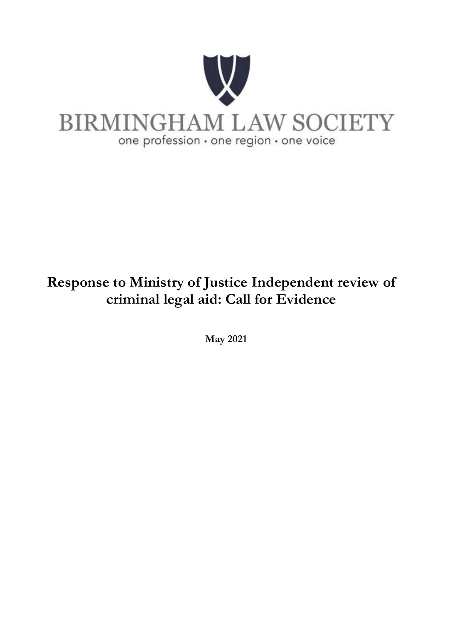

# **Response to Ministry of Justice Independent review of criminal legal aid: Call for Evidence**

**May 2021**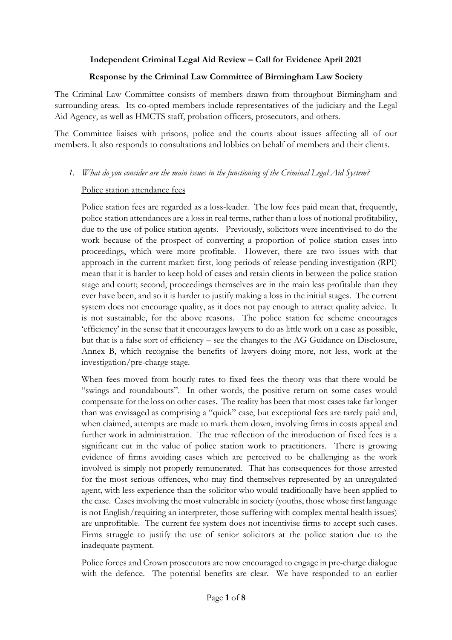# **Independent Criminal Legal Aid Review – Call for Evidence April 2021**

## **Response by the Criminal Law Committee of Birmingham Law Society**

The Criminal Law Committee consists of members drawn from throughout Birmingham and surrounding areas. Its co-opted members include representatives of the judiciary and the Legal Aid Agency, as well as HMCTS staff, probation officers, prosecutors, and others.

The Committee liaises with prisons, police and the courts about issues affecting all of our members. It also responds to consultations and lobbies on behalf of members and their clients.

#### *1. What do you consider are the main issues in the functioning of the Criminal Legal Aid System?*

#### Police station attendance fees

Police station fees are regarded as a loss-leader. The low fees paid mean that, frequently, police station attendances are a loss in real terms, rather than a loss of notional profitability, due to the use of police station agents. Previously, solicitors were incentivised to do the work because of the prospect of converting a proportion of police station cases into proceedings, which were more profitable. However, there are two issues with that approach in the current market: first, long periods of release pending investigation (RPI) mean that it is harder to keep hold of cases and retain clients in between the police station stage and court; second, proceedings themselves are in the main less profitable than they ever have been, and so it is harder to justify making a loss in the initial stages. The current system does not encourage quality, as it does not pay enough to attract quality advice. It is not sustainable, for the above reasons. The police station fee scheme encourages 'efficiency' in the sense that it encourages lawyers to do as little work on a case as possible, but that is a false sort of efficiency – see the changes to the AG Guidance on Disclosure, Annex B, which recognise the benefits of lawyers doing more, not less, work at the investigation/pre-charge stage.

When fees moved from hourly rates to fixed fees the theory was that there would be "swings and roundabouts". In other words, the positive return on some cases would compensate for the loss on other cases. The reality has been that most cases take far longer than was envisaged as comprising a "quick" case, but exceptional fees are rarely paid and, when claimed, attempts are made to mark them down, involving firms in costs appeal and further work in administration. The true reflection of the introduction of fixed fees is a significant cut in the value of police station work to practitioners. There is growing evidence of firms avoiding cases which are perceived to be challenging as the work involved is simply not properly remunerated. That has consequences for those arrested for the most serious offences, who may find themselves represented by an unregulated agent, with less experience than the solicitor who would traditionally have been applied to the case. Cases involving the most vulnerable in society (youths, those whose first language is not English/requiring an interpreter, those suffering with complex mental health issues) are unprofitable. The current fee system does not incentivise firms to accept such cases. Firms struggle to justify the use of senior solicitors at the police station due to the inadequate payment.

Police forces and Crown prosecutors are now encouraged to engage in pre-charge dialogue with the defence. The potential benefits are clear. We have responded to an earlier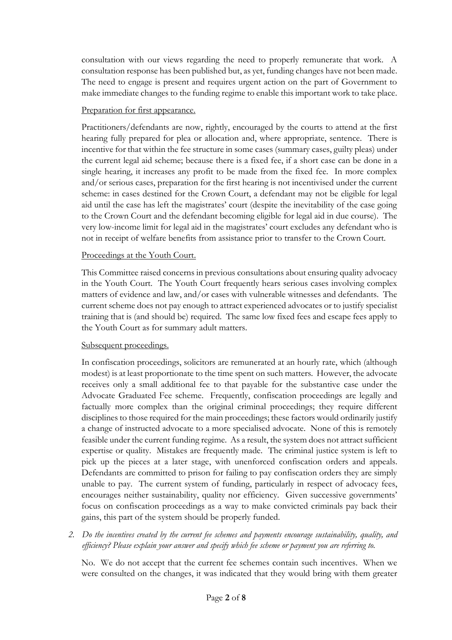consultation with our views regarding the need to properly remunerate that work. A consultation response has been published but, as yet, funding changes have not been made. The need to engage is present and requires urgent action on the part of Government to make immediate changes to the funding regime to enable this important work to take place.

## Preparation for first appearance.

Practitioners/defendants are now, rightly, encouraged by the courts to attend at the first hearing fully prepared for plea or allocation and, where appropriate, sentence. There is incentive for that within the fee structure in some cases (summary cases, guilty pleas) under the current legal aid scheme; because there is a fixed fee, if a short case can be done in a single hearing, it increases any profit to be made from the fixed fee. In more complex and/or serious cases, preparation for the first hearing is not incentivised under the current scheme: in cases destined for the Crown Court, a defendant may not be eligible for legal aid until the case has left the magistrates' court (despite the inevitability of the case going to the Crown Court and the defendant becoming eligible for legal aid in due course). The very low-income limit for legal aid in the magistrates' court excludes any defendant who is not in receipt of welfare benefits from assistance prior to transfer to the Crown Court.

#### Proceedings at the Youth Court.

This Committee raised concerns in previous consultations about ensuring quality advocacy in the Youth Court. The Youth Court frequently hears serious cases involving complex matters of evidence and law, and/or cases with vulnerable witnesses and defendants. The current scheme does not pay enough to attract experienced advocates or to justify specialist training that is (and should be) required. The same low fixed fees and escape fees apply to the Youth Court as for summary adult matters.

# Subsequent proceedings.

In confiscation proceedings, solicitors are remunerated at an hourly rate, which (although modest) is at least proportionate to the time spent on such matters. However, the advocate receives only a small additional fee to that payable for the substantive case under the Advocate Graduated Fee scheme. Frequently, confiscation proceedings are legally and factually more complex than the original criminal proceedings; they require different disciplines to those required for the main proceedings; these factors would ordinarily justify a change of instructed advocate to a more specialised advocate. None of this is remotely feasible under the current funding regime. As a result, the system does not attract sufficient expertise or quality. Mistakes are frequently made. The criminal justice system is left to pick up the pieces at a later stage, with unenforced confiscation orders and appeals. Defendants are committed to prison for failing to pay confiscation orders they are simply unable to pay. The current system of funding, particularly in respect of advocacy fees, encourages neither sustainability, quality nor efficiency. Given successive governments' focus on confiscation proceedings as a way to make convicted criminals pay back their gains, this part of the system should be properly funded.

*2. Do the incentives created by the current fee schemes and payments encourage sustainability, quality, and efficiency? Please explain your answer and specify which fee scheme or payment you are referring to.*

No. We do not accept that the current fee schemes contain such incentives. When we were consulted on the changes, it was indicated that they would bring with them greater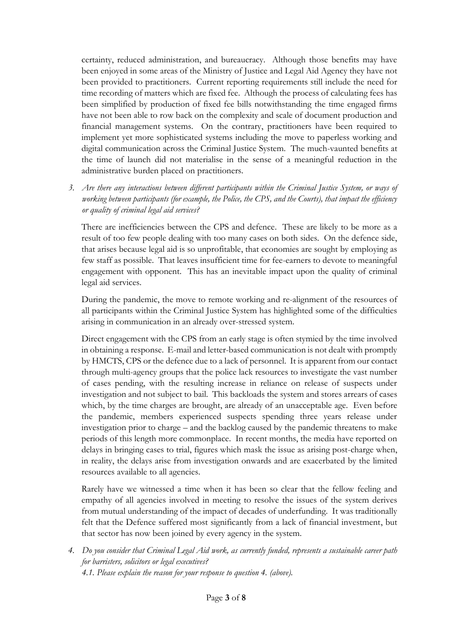certainty, reduced administration, and bureaucracy. Although those benefits may have been enjoyed in some areas of the Ministry of Justice and Legal Aid Agency they have not been provided to practitioners. Current reporting requirements still include the need for time recording of matters which are fixed fee. Although the process of calculating fees has been simplified by production of fixed fee bills notwithstanding the time engaged firms have not been able to row back on the complexity and scale of document production and financial management systems. On the contrary, practitioners have been required to implement yet more sophisticated systems including the move to paperless working and digital communication across the Criminal Justice System. The much-vaunted benefits at the time of launch did not materialise in the sense of a meaningful reduction in the administrative burden placed on practitioners.

*3. Are there any interactions between different participants within the Criminal Justice System, or ways of working between participants (for example, the Police, the CPS, and the Courts), that impact the efficiency or quality of criminal legal aid services?*

There are inefficiencies between the CPS and defence. These are likely to be more as a result of too few people dealing with too many cases on both sides. On the defence side, that arises because legal aid is so unprofitable, that economies are sought by employing as few staff as possible. That leaves insufficient time for fee-earners to devote to meaningful engagement with opponent. This has an inevitable impact upon the quality of criminal legal aid services.

During the pandemic, the move to remote working and re-alignment of the resources of all participants within the Criminal Justice System has highlighted some of the difficulties arising in communication in an already over-stressed system.

Direct engagement with the CPS from an early stage is often stymied by the time involved in obtaining a response. E-mail and letter-based communication is not dealt with promptly by HMCTS, CPS or the defence due to a lack of personnel. It is apparent from our contact through multi-agency groups that the police lack resources to investigate the vast number of cases pending, with the resulting increase in reliance on release of suspects under investigation and not subject to bail. This backloads the system and stores arrears of cases which, by the time charges are brought, are already of an unacceptable age. Even before the pandemic, members experienced suspects spending three years release under investigation prior to charge – and the backlog caused by the pandemic threatens to make periods of this length more commonplace. In recent months, the media have reported on delays in bringing cases to trial, figures which mask the issue as arising post-charge when, in reality, the delays arise from investigation onwards and are exacerbated by the limited resources available to all agencies.

Rarely have we witnessed a time when it has been so clear that the fellow feeling and empathy of all agencies involved in meeting to resolve the issues of the system derives from mutual understanding of the impact of decades of underfunding. It was traditionally felt that the Defence suffered most significantly from a lack of financial investment, but that sector has now been joined by every agency in the system.

*4. Do you consider that Criminal Legal Aid work, as currently funded, represents a sustainable career path for barristers, solicitors or legal executives? 4.1. Please explain the reason for your response to question 4. (above).*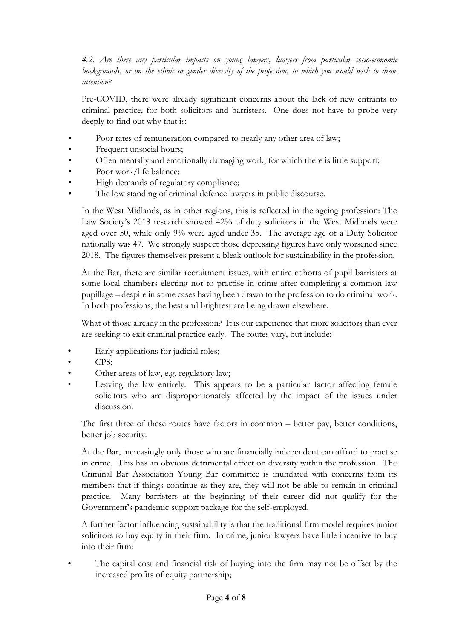*4.2. Are there any particular impacts on young lawyers, lawyers from particular socio-economic backgrounds, or on the ethnic or gender diversity of the profession, to which you would wish to draw attention?*

Pre-COVID, there were already significant concerns about the lack of new entrants to criminal practice, for both solicitors and barristers. One does not have to probe very deeply to find out why that is:

- Poor rates of remuneration compared to nearly any other area of law;
- Frequent unsocial hours;
- Often mentally and emotionally damaging work, for which there is little support;
- Poor work/life balance;
- High demands of regulatory compliance;
- The low standing of criminal defence lawyers in public discourse.

In the West Midlands, as in other regions, this is reflected in the ageing profession: The Law Society's 2018 research showed 42% of duty solicitors in the West Midlands were aged over 50, while only 9% were aged under 35. The average age of a Duty Solicitor nationally was 47. We strongly suspect those depressing figures have only worsened since 2018. The figures themselves present a bleak outlook for sustainability in the profession.

At the Bar, there are similar recruitment issues, with entire cohorts of pupil barristers at some local chambers electing not to practise in crime after completing a common law pupillage – despite in some cases having been drawn to the profession to do criminal work. In both professions, the best and brightest are being drawn elsewhere.

What of those already in the profession? It is our experience that more solicitors than ever are seeking to exit criminal practice early. The routes vary, but include:

- Early applications for judicial roles;
- CPS;
- Other areas of law, e.g. regulatory law;
- Leaving the law entirely. This appears to be a particular factor affecting female solicitors who are disproportionately affected by the impact of the issues under discussion.

The first three of these routes have factors in common – better pay, better conditions, better job security.

At the Bar, increasingly only those who are financially independent can afford to practise in crime. This has an obvious detrimental effect on diversity within the profession. The Criminal Bar Association Young Bar committee is inundated with concerns from its members that if things continue as they are, they will not be able to remain in criminal practice. Many barristers at the beginning of their career did not qualify for the Government's pandemic support package for the self-employed.

A further factor influencing sustainability is that the traditional firm model requires junior solicitors to buy equity in their firm. In crime, junior lawyers have little incentive to buy into their firm:

The capital cost and financial risk of buying into the firm may not be offset by the increased profits of equity partnership;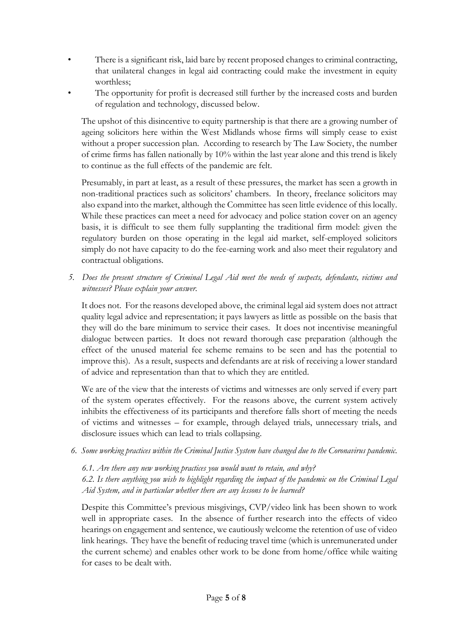- There is a significant risk, laid bare by recent proposed changes to criminal contracting, that unilateral changes in legal aid contracting could make the investment in equity worthless;
- The opportunity for profit is decreased still further by the increased costs and burden of regulation and technology, discussed below.

The upshot of this disincentive to equity partnership is that there are a growing number of ageing solicitors here within the West Midlands whose firms will simply cease to exist without a proper succession plan. According to research by The Law Society, the number of crime firms has fallen nationally by 10% within the last year alone and this trend is likely to continue as the full effects of the pandemic are felt.

Presumably, in part at least, as a result of these pressures, the market has seen a growth in non-traditional practices such as solicitors' chambers. In theory, freelance solicitors may also expand into the market, although the Committee has seen little evidence of this locally. While these practices can meet a need for advocacy and police station cover on an agency basis, it is difficult to see them fully supplanting the traditional firm model: given the regulatory burden on those operating in the legal aid market, self-employed solicitors simply do not have capacity to do the fee-earning work and also meet their regulatory and contractual obligations.

*5. Does the present structure of Criminal Legal Aid meet the needs of suspects, defendants, victims and witnesses? Please explain your answer.*

It does not. For the reasons developed above, the criminal legal aid system does not attract quality legal advice and representation; it pays lawyers as little as possible on the basis that they will do the bare minimum to service their cases. It does not incentivise meaningful dialogue between parties. It does not reward thorough case preparation (although the effect of the unused material fee scheme remains to be seen and has the potential to improve this). As a result, suspects and defendants are at risk of receiving a lower standard of advice and representation than that to which they are entitled.

We are of the view that the interests of victims and witnesses are only served if every part of the system operates effectively. For the reasons above, the current system actively inhibits the effectiveness of its participants and therefore falls short of meeting the needs of victims and witnesses – for example, through delayed trials, unnecessary trials, and disclosure issues which can lead to trials collapsing.

*6. Some working practices within the Criminal Justice System have changed due to the Coronavirus pandemic.*

*6.1. Are there any new working practices you would want to retain, and why?*

*6.2. Is there anything you wish to highlight regarding the impact of the pandemic on the Criminal Legal Aid System, and in particular whether there are any lessons to be learned?*

Despite this Committee's previous misgivings, CVP/video link has been shown to work well in appropriate cases. In the absence of further research into the effects of video hearings on engagement and sentence, we cautiously welcome the retention of use of video link hearings. They have the benefit of reducing travel time (which is unremunerated under the current scheme) and enables other work to be done from home/office while waiting for cases to be dealt with.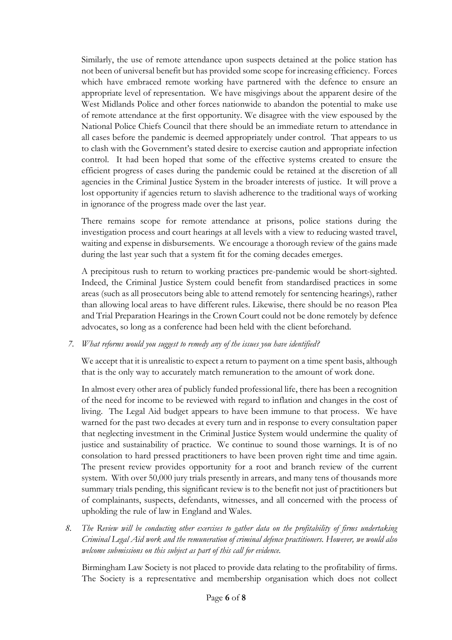Similarly, the use of remote attendance upon suspects detained at the police station has not been of universal benefit but has provided some scope for increasing efficiency. Forces which have embraced remote working have partnered with the defence to ensure an appropriate level of representation. We have misgivings about the apparent desire of the West Midlands Police and other forces nationwide to abandon the potential to make use of remote attendance at the first opportunity. We disagree with the view espoused by the National Police Chiefs Council that there should be an immediate return to attendance in all cases before the pandemic is deemed appropriately under control. That appears to us to clash with the Government's stated desire to exercise caution and appropriate infection control. It had been hoped that some of the effective systems created to ensure the efficient progress of cases during the pandemic could be retained at the discretion of all agencies in the Criminal Justice System in the broader interests of justice. It will prove a lost opportunity if agencies return to slavish adherence to the traditional ways of working in ignorance of the progress made over the last year.

There remains scope for remote attendance at prisons, police stations during the investigation process and court hearings at all levels with a view to reducing wasted travel, waiting and expense in disbursements. We encourage a thorough review of the gains made during the last year such that a system fit for the coming decades emerges.

A precipitous rush to return to working practices pre-pandemic would be short-sighted. Indeed, the Criminal Justice System could benefit from standardised practices in some areas (such as all prosecutors being able to attend remotely for sentencing hearings), rather than allowing local areas to have different rules. Likewise, there should be no reason Plea and Trial Preparation Hearings in the Crown Court could not be done remotely by defence advocates, so long as a conference had been held with the client beforehand.

# *7. What reforms would you suggest to remedy any of the issues you have identified?*

We accept that it is unrealistic to expect a return to payment on a time spent basis, although that is the only way to accurately match remuneration to the amount of work done.

In almost every other area of publicly funded professional life, there has been a recognition of the need for income to be reviewed with regard to inflation and changes in the cost of living. The Legal Aid budget appears to have been immune to that process. We have warned for the past two decades at every turn and in response to every consultation paper that neglecting investment in the Criminal Justice System would undermine the quality of justice and sustainability of practice. We continue to sound those warnings. It is of no consolation to hard pressed practitioners to have been proven right time and time again. The present review provides opportunity for a root and branch review of the current system. With over 50,000 jury trials presently in arrears, and many tens of thousands more summary trials pending, this significant review is to the benefit not just of practitioners but of complainants, suspects, defendants, witnesses, and all concerned with the process of upholding the rule of law in England and Wales.

*8. The Review will be conducting other exercises to gather data on the profitability of firms undertaking Criminal Legal Aid work and the remuneration of criminal defence practitioners. However, we would also welcome submissions on this subject as part of this call for evidence.*

Birmingham Law Society is not placed to provide data relating to the profitability of firms. The Society is a representative and membership organisation which does not collect